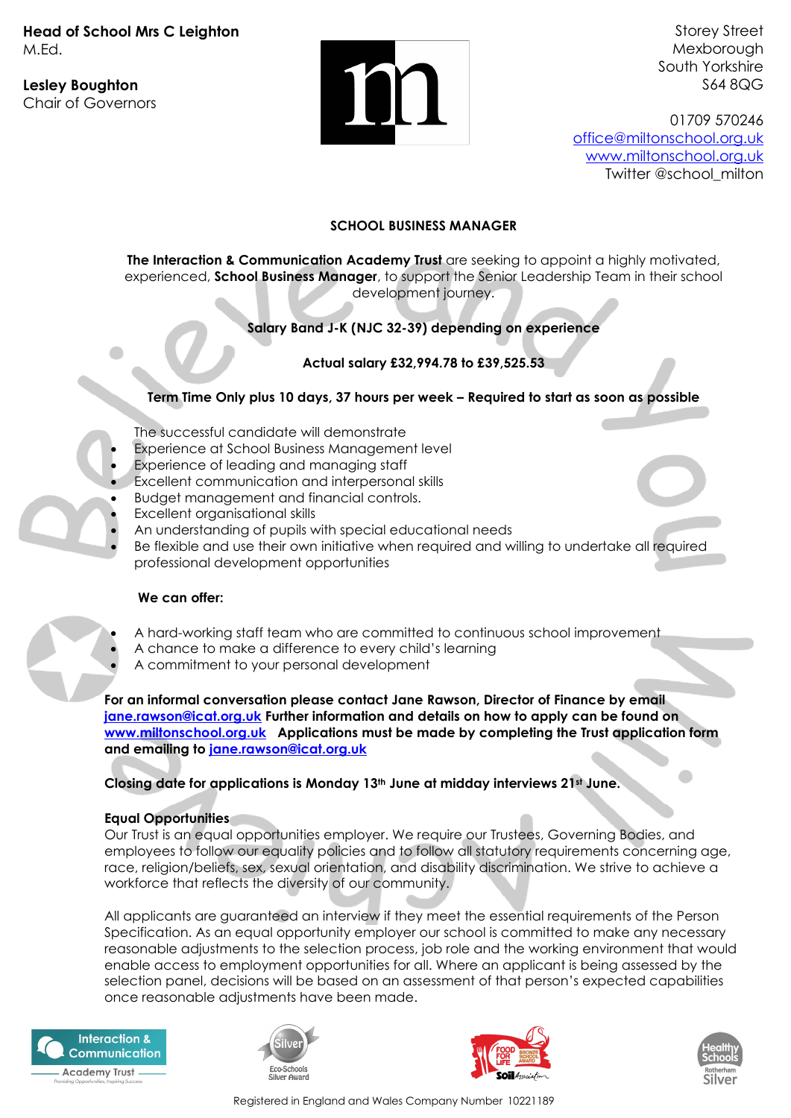**Head of School Mrs C Leighton** M.Ed.

**Lesley Boughton** Chair of Governors



Storey Street Mexborough South Yorkshire S64 8QG

01709 570246 [office@miltonschool.org.uk](mailto:office@miltonschool.org.uk) [www.miltonschool.org.uk](http://www.miltonschool.org.uk/) Twitter @school\_milton

## **SCHOOL BUSINESS MANAGER**

**The Interaction & Communication Academy Trust** are seeking to appoint a highly motivated, experienced, **School Business Manager**, to support the Senior Leadership Team in their school development journey.

# **Salary Band J-K (NJC 32-39) depending on experience**

## **Actual salary £32,994.78 to £39,525.53**

## **Term Time Only plus 10 days, 37 hours per week – Required to start as soon as possible**

- The successful candidate will demonstrate
- Experience at School Business Management level
- Experience of leading and managing staff
- Excellent communication and interpersonal skills
- Budget management and financial controls.
- Excellent organisational skills
- An understanding of pupils with special educational needs
- Be flexible and use their own initiative when required and willing to undertake all required professional development opportunities

### **We can offer:**

- A hard-working staff team who are committed to continuous school improvement
- A chance to make a difference to every child's learning
- A commitment to your personal development

**For an informal conversation please contact Jane Rawson, Director of Finance by email [jane.rawson@icat.org.uk](mailto:jane.rawson@icat.org.uk) Further information and details on how to apply can be found on [www.miltonschool.org.uk](http://www.miltonschool.org.uk/) Applications must be made by completing the Trust application form and emailing to [jane.rawson@icat.org.uk](mailto:jane.rawson@icat.org.uk)**

**Closing date for applications is Monday 13th June at midday interviews 21st June.** 

### **Equal Opportunities**

Our Trust is an equal opportunities employer. We require our Trustees, Governing Bodies, and employees to follow our equality policies and to follow all statutory requirements concerning age, race, religion/beliefs, sex, sexual orientation, and disability discrimination. We strive to achieve a workforce that reflects the diversity of our community.

All applicants are guaranteed an interview if they meet the essential requirements of the Person Specification. As an equal opportunity employer our school is committed to make any necessary reasonable adjustments to the selection process, job role and the working environment that would enable access to employment opportunities for all. Where an applicant is being assessed by the selection panel, decisions will be based on an assessment of that person's expected capabilities once reasonable adjustments have been made.